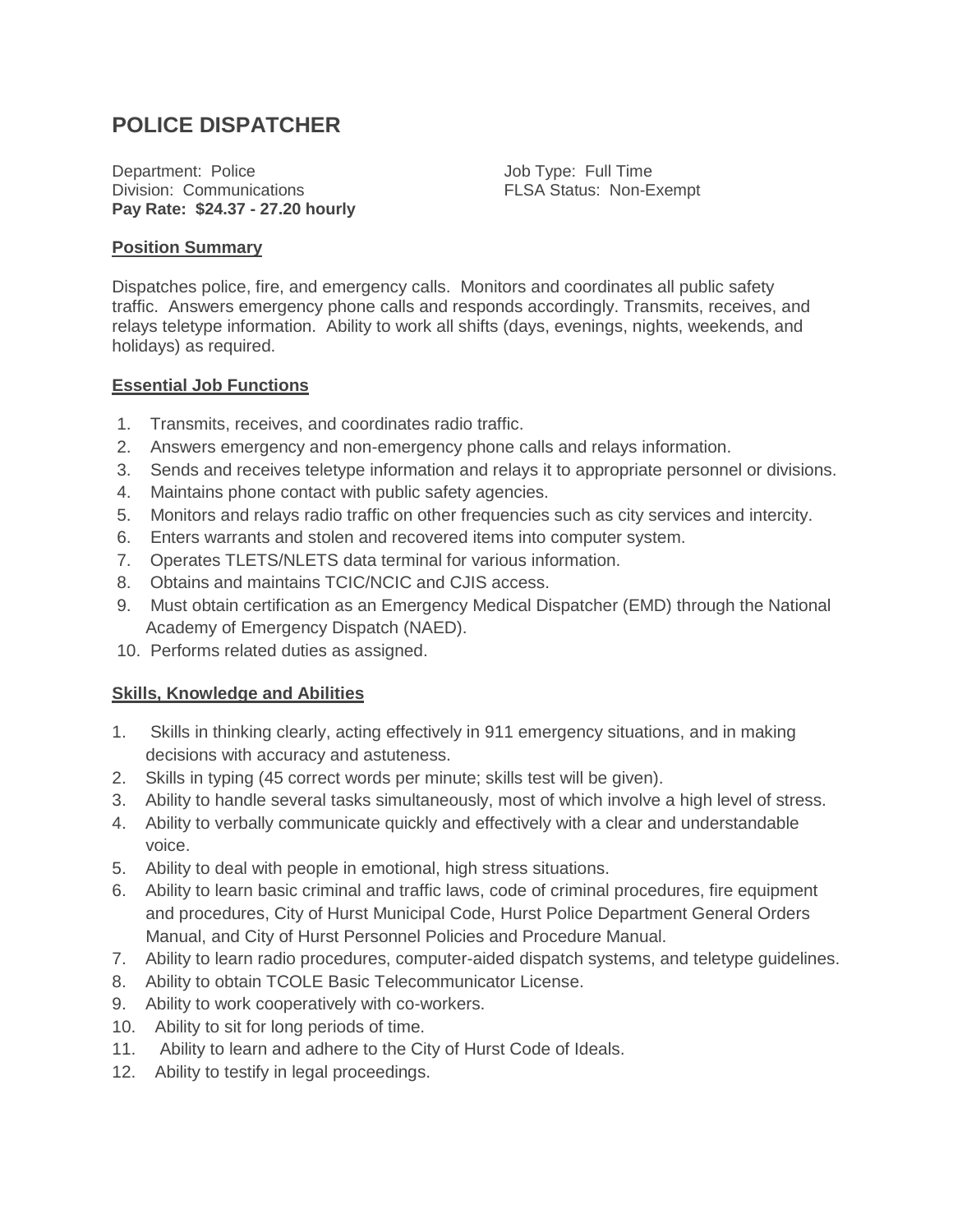# **POLICE DISPATCHER**

Department: Police Division: Communications **Pay Rate: \$24.37 - 27.20 hourly**

Job Type: Full Time FLSA Status: Non-Exempt

#### **Position Summary**

Dispatches police, fire, and emergency calls. Monitors and coordinates all public safety traffic. Answers emergency phone calls and responds accordingly. Transmits, receives, and relays teletype information. Ability to work all shifts (days, evenings, nights, weekends, and holidays) as required.

#### **Essential Job Functions**

- 1. Transmits, receives, and coordinates radio traffic.
- 2. Answers emergency and non-emergency phone calls and relays information.
- 3. Sends and receives teletype information and relays it to appropriate personnel or divisions.
- 4. Maintains phone contact with public safety agencies.
- 5. Monitors and relays radio traffic on other frequencies such as city services and intercity.
- 6. Enters warrants and stolen and recovered items into computer system.
- 7. Operates TLETS/NLETS data terminal for various information.
- 8. Obtains and maintains TCIC/NCIC and CJIS access.
- 9. Must obtain certification as an Emergency Medical Dispatcher (EMD) through the National Academy of Emergency Dispatch (NAED).
- 10. Performs related duties as assigned.

## **Skills, Knowledge and Abilities**

- 1. Skills in thinking clearly, acting effectively in 911 emergency situations, and in making decisions with accuracy and astuteness.
- 2. Skills in typing (45 correct words per minute; skills test will be given).
- 3. Ability to handle several tasks simultaneously, most of which involve a high level of stress.
- 4. Ability to verbally communicate quickly and effectively with a clear and understandable voice.
- 5. Ability to deal with people in emotional, high stress situations.
- 6. Ability to learn basic criminal and traffic laws, code of criminal procedures, fire equipment and procedures, City of Hurst Municipal Code, Hurst Police Department General Orders Manual, and City of Hurst Personnel Policies and Procedure Manual.
- 7. Ability to learn radio procedures, computer-aided dispatch systems, and teletype guidelines.
- 8. Ability to obtain TCOLE Basic Telecommunicator License.
- 9. Ability to work cooperatively with co-workers.
- 10. Ability to sit for long periods of time.
- 11. Ability to learn and adhere to the City of Hurst Code of Ideals.
- 12. Ability to testify in legal proceedings.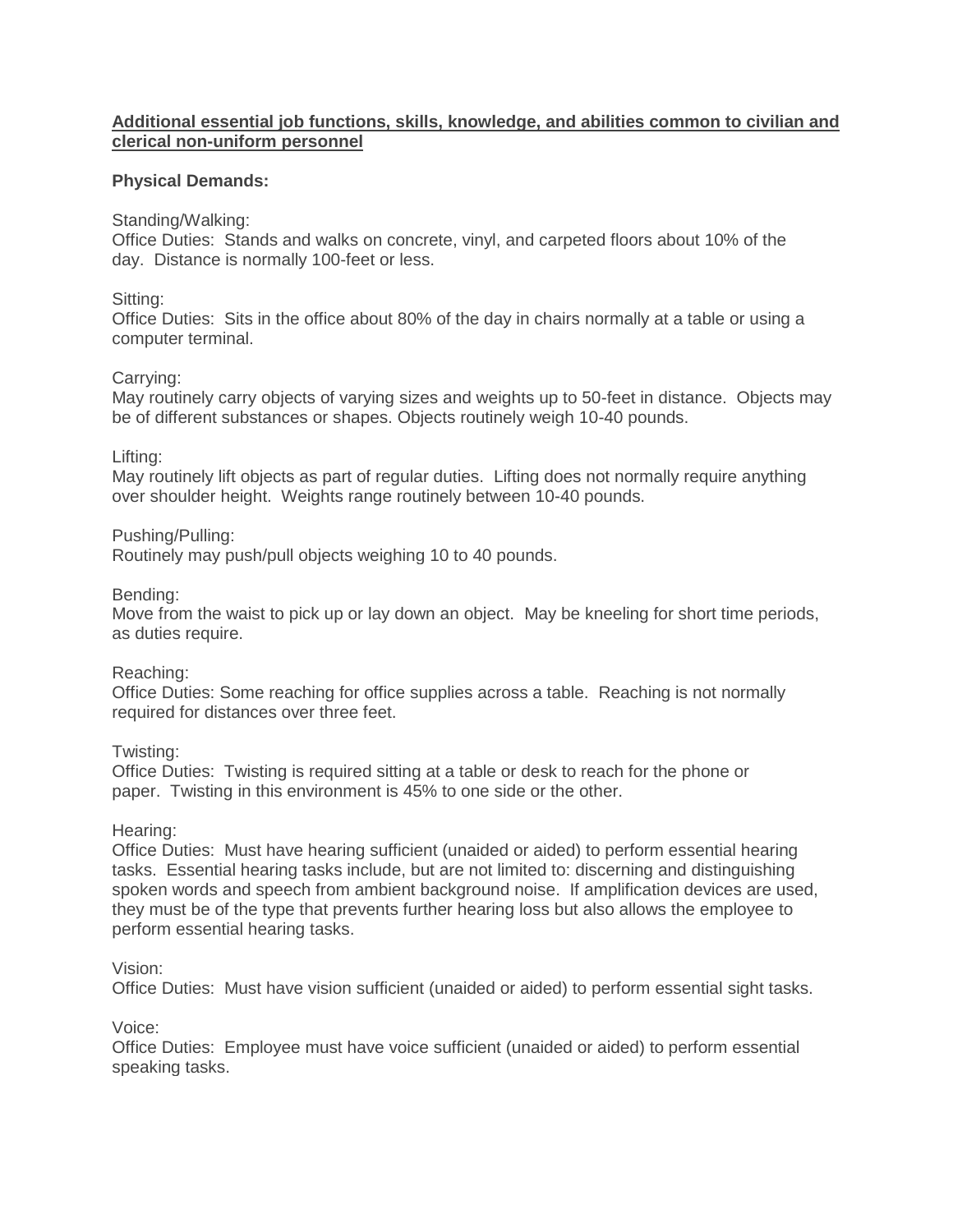## **Additional essential job functions, skills, knowledge, and abilities common to civilian and clerical non-uniform personnel**

## **Physical Demands:**

## Standing/Walking:

Office Duties: Stands and walks on concrete, vinyl, and carpeted floors about 10% of the day. Distance is normally 100-feet or less.

## Sitting:

Office Duties: Sits in the office about 80% of the day in chairs normally at a table or using a computer terminal.

## Carrying:

May routinely carry objects of varying sizes and weights up to 50-feet in distance. Objects may be of different substances or shapes. Objects routinely weigh 10-40 pounds.

Lifting:

May routinely lift objects as part of regular duties. Lifting does not normally require anything over shoulder height. Weights range routinely between 10-40 pounds.

Pushing/Pulling:

Routinely may push/pull objects weighing 10 to 40 pounds.

Bending:

Move from the waist to pick up or lay down an object. May be kneeling for short time periods, as duties require.

## Reaching:

Office Duties: Some reaching for office supplies across a table. Reaching is not normally required for distances over three feet.

Twisting:

Office Duties: Twisting is required sitting at a table or desk to reach for the phone or paper. Twisting in this environment is 45% to one side or the other.

## Hearing:

Office Duties: Must have hearing sufficient (unaided or aided) to perform essential hearing tasks. Essential hearing tasks include, but are not limited to: discerning and distinguishing spoken words and speech from ambient background noise. If amplification devices are used, they must be of the type that prevents further hearing loss but also allows the employee to perform essential hearing tasks.

## Vision:

Office Duties: Must have vision sufficient (unaided or aided) to perform essential sight tasks.

## Voice:

Office Duties: Employee must have voice sufficient (unaided or aided) to perform essential speaking tasks.